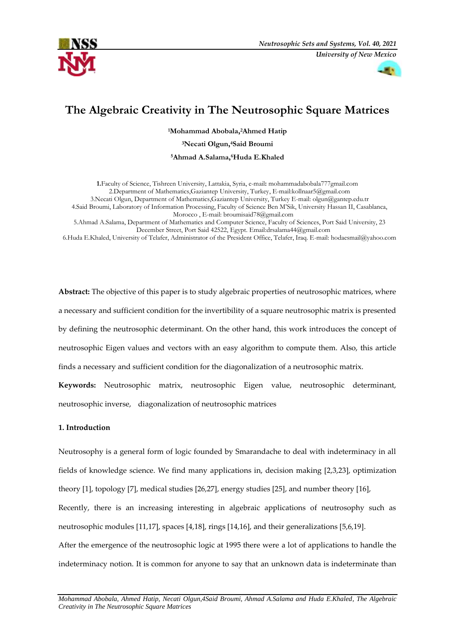



# **The Algebraic Creativity in The Neutrosophic Square Matrices**

**<sup>1</sup>Mohammad Abobala, <sup>2</sup>Ahmed Hatip**

**<sup>3</sup>Necati Olgun, <sup>4</sup>Said Broumi**

**<sup>5</sup>Ahmad A.Salama,6Huda E.Khaled**

**1.**Faculty of Science, Tishreen University, Lattakia, Syria, e-mail**:** mohammadabobala777gmail.com 2.Department of Mathematics,Gaziantep University, Turkey, E-mai[l:kollnaar5@gmail.com](mailto:kollnaar5@gmail.com) 3.Necati Olgun, Department of Mathematics,Gaziantep University, Turkey E-mail[: olgun@gantep.edu.tr](mailto:olgun@gantep.edu.tr) 4.Said Broumi, Laboratory of Information Processing, Faculty of Science Ben M'Sik, University Hassan II, Casablanca, Morocco , E-mail[: broumisaid78@gmail.com](mailto:broumisaid78@gmail.com)

5.Ahmad A.Salama, Department of Mathematics and Computer Science, Faculty of Sciences, Port Said University, 23 December Street, Port Said 42522, Egypt. Email[:drsalama44@gmail.com](mailto:drsalama44@gmail.com)

6.Huda E.Khaled, University of Telafer, Administrator of the President Office, Telafer, Iraq. E-mail: [hodaesmail@yahoo.com](mailto:hodaesmail@yahoo.com)

**Abstract:** The objective of this paper is to study algebraic properties of neutrosophic matrices, where a necessary and sufficient condition for the invertibility of a square neutrosophic matrix is presented by defining the neutrosophic determinant. On the other hand, this work introduces the concept of neutrosophic Eigen values and vectors with an easy algorithm to compute them. Also, this article finds a necessary and sufficient condition for the diagonalization of a neutrosophic matrix.

**Keywords:** Neutrosophic matrix, neutrosophic Eigen value, neutrosophic determinant, neutrosophic inverse, diagonalization of neutrosophic matrices

# **1. Introduction**

Neutrosophy is a general form of logic founded by Smarandache to deal with indeterminacy in all fields of knowledge science. We find many applications in, decision making [2,3,23], optimization theory [1], topology [7], medical studies [26,27], energy studies [25], and number theory [16], Recently, there is an increasing interesting in algebraic applications of neutrosophy such as neutrosophic modules [11,17], spaces [4,18], rings [14,16], and their generalizations [5,6,19]. After the emergence of the neutrosophic logic at 1995 there were a lot of applications to handle the indeterminacy notion. It is common for anyone to say that an unknown data is indeterminate than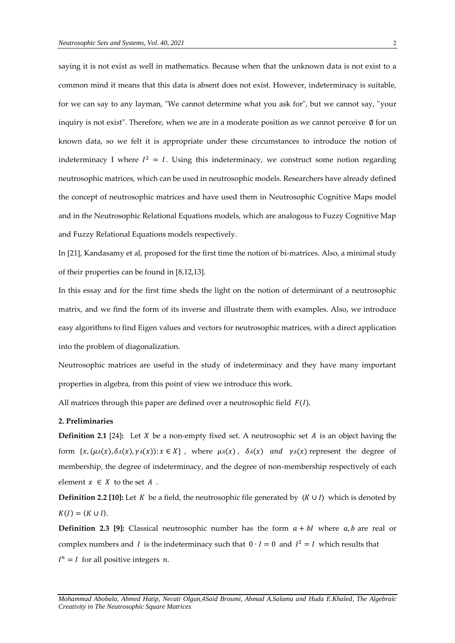saying it is not exist as well in mathematics. Because when that the unknown data is not exist to a common mind it means that this data is absent does not exist. However, indeterminacy is suitable, for we can say to any layman, "We cannot determine what you ask for", but we cannot say, "your inquiry is not exist". Therefore, when we are in a moderate position as we cannot perceive ∅ for un known data, so we felt it is appropriate under these circumstances to introduce the notion of indeterminacy I where  $I^2 = I$ . Using this indeterminacy, we construct some notion regarding neutrosophic matrices, which can be used in neutrosophic models. Researchers have already defined the concept of neutrosophic matrices and have used them in Neutrosophic Cognitive Maps model and in the Neutrosophic Relational Equations models, which are analogous to Fuzzy Cognitive Map and Fuzzy Relational Equations models respectively.

In [21], Kandasamy et al, proposed for the first time the notion of bi-matrices. Also, a minimal study of their properties can be found in [8,12,13].

In this essay and for the first time sheds the light on the notion of determinant of a neutrosophic matrix, and we find the form of its inverse and illustrate them with examples. Also, we introduce easy algorithms to find Eigen values and vectors for neutrosophic matrices, with a direct application into the problem of diagonalization.

Neutrosophic matrices are useful in the study of indeterminacy and they have many important properties in algebra, from this point of view we introduce this work.

All matrices through this paper are defined over a neutrosophic field  $F(I)$ .

## **2. Preliminaries**

**Definition 2.1** [24]: Let  $X$  be a non-empty fixed set. A neutrosophic set  $A$  is an object having the form  $\{x, (\mu A(x), \delta A(x), \gamma A(x)) : x \in X\}$ , where  $\mu A(x)$ ,  $\delta A(x)$  and  $\gamma A(x)$  represent the degree of membership, the degree of indeterminacy, and the degree of non-membership respectively of each element  $x \in X$  to the set  $A$ .

**Definition 2.2** [10]: Let *K* be a field, the neutrosophic file generated by  $\langle K \cup I \rangle$  which is denoted by  $K(I) = \langle K \cup I \rangle$ .

**Definition 2.3 [9]:** Classical neutrosophic number has the form  $a + bI$  where  $a, b$  are real or complex numbers and *I* is the indeterminacy such that  $0 \cdot I = 0$  and  $I^2 = I$  which results that  $I^n = I$  for all positive integers *n*.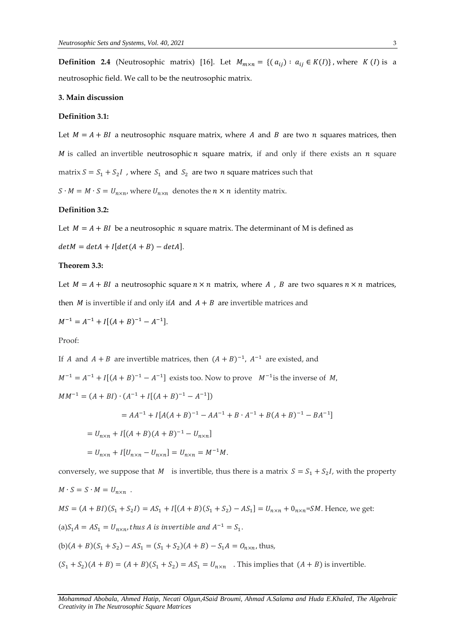**Definition 2.4** (Neutrosophic matrix) [16]. Let  $M_{m \times n} = \{(a_{ij}) : a_{ij} \in K(I)\}\)$ , where  $K(I)$  is a neutrosophic field. We call to be the neutrosophic matrix.

## **3. Main discussion**

#### **Definition 3.1:**

Let  $M = A + BI$  a neutrosophic nsquare matrix, where A and B are two n squares matrices, then  $M$  is called an invertible neutrosophic  $n$  square matrix, if and only if there exists an  $n$  square matrix  $S = S_1 + S_2 I$ , where  $S_1$  and  $S_2$  are two n square matrices such that

 $S \cdot M = M \cdot S = U_{n \times n}$ , where  $U_{n \times n}$  denotes the  $n \times n$  identity matrix.

## **Definition 3.2:**

Let  $M = A + BI$  be a neutrosophic *n* square matrix. The determinant of M is defined as

 $det M = det A + I [det(A + B) - det A].$ 

## **Theorem 3.3:**

Let  $M = A + BI$  a neutrosophic square  $n \times n$  matrix, where A, B are two squares  $n \times n$  matrices,

then  $M$  is invertible if and only if  $A$  and  $A + B$  are invertible matrices and

$$
M^{-1} = A^{-1} + I[(A + B)^{-1} - A^{-1}].
$$

Proof:

If *A* and  $A + B$  are invertible matrices, then  $(A + B)^{-1}$ ,  $A^{-1}$  are existed, and

 $M^{-1} = A^{-1} + I[(A + B)^{-1} - A^{-1}]$  exists too. Now to prove  $M^{-1}$  is the inverse of M,

 $MM^{-1} = (A + BI) \cdot (A^{-1} + I[(A + B)^{-1} - A^{-1}])$ 

$$
= AA^{-1} + I[A(A + B)^{-1} - AA^{-1} + B \cdot A^{-1} + B(A + B)^{-1} - BA^{-1}]
$$

$$
= U_{n \times n} + I[(A + B)(A + B)^{-1} - U_{n \times n}]
$$

$$
= U_{n \times n} + I[U_{n \times n} - U_{n \times n}] = U_{n \times n} = M^{-1}M.
$$

conversely, we suppose that M is invertible, thus there is a matrix  $S = S_1 + S_2 I$ , with the property  $M \cdot S = S \cdot M = U_{n \times n}$ .  $MS = (A + BI)(S_1 + S_2 I) = AS_1 + I[(A + B)(S_1 + S_2) - AS_1] = U_{n \times n} + 0_{n \times n} = SM$ . Hence, we get: (a) $S_1 A = A S_1 = U_{n \times n}$ , thus A is invertible and  $A^{-1} = S_1$ .  $(b)(A + B)(S_1 + S_2) - AS_1 = (S_1 + S_2)(A + B) - S_1A = O_{n \times n}$ , thus,  $(S_1 + S_2)(A + B) = (A + B)(S_1 + S_2) = AS_1 = U_{n \times n}$ . This implies that  $(A + B)$  is invertible.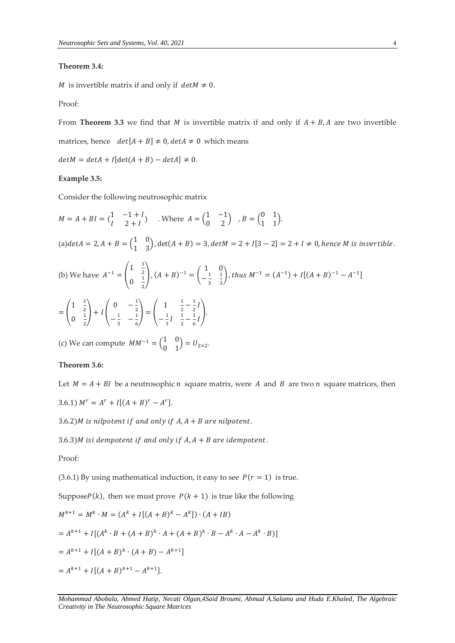## **Theorem 3.4:**

*M* is invertible matrix if and only if  $det M \neq 0$ .

Proof:

From **Theorem 3.3** we find that *M* is invertible matrix if and only if  $A + B$ , *A* are two invertible

matrices, hence  $det[A + B] \neq 0$ ,  $detA \neq 0$  which means

 $det M = det A + I [det(A + B) - det A] \neq 0.$ 

## **Example 3.5:**

Consider the following neutrosophic matrix

$$
M = A + BI = \begin{pmatrix} 1 & -1 + I \\ I & 2 + I \end{pmatrix}
$$
. Where  $A = \begin{pmatrix} 1 & -1 \\ 0 & 2 \end{pmatrix}$ ,  $B = \begin{pmatrix} 0 & 1 \\ 1 & 1 \end{pmatrix}$ .  
\n(a)  $\det A = 2, A + B = \begin{pmatrix} 1 & 0 \\ 1 & 3 \end{pmatrix}$ ,  $\det(A + B) = 3$ ,  $\det M = 2 + I[3 - 2] = 2 + I \neq 0$ , hence M is invertible.

(b) We have 
$$
A^{-1} = \begin{pmatrix} 1 & \frac{1}{2} \\ 0 & \frac{1}{2} \end{pmatrix}
$$
,  $(A + B)^{-1} = \begin{pmatrix} 1 & 0 \\ -\frac{1}{3} & \frac{1}{3} \end{pmatrix}$ , thus  $M^{-1} = (A^{-1}) + I[(A + B)^{-1} - A^{-1}]$   

$$
= \begin{pmatrix} 1 & \frac{1}{2} \\ 0 & \frac{1}{2} \end{pmatrix} + I \begin{pmatrix} 0 & -\frac{1}{2} \\ -\frac{1}{3} & -\frac{1}{6} \end{pmatrix} = \begin{pmatrix} 1 & \frac{1}{2} - \frac{1}{2}I \\ -\frac{1}{3}I & \frac{1}{2} - \frac{1}{6}I \end{pmatrix}.
$$

(c) We can compute  $MM^{-1} = \begin{pmatrix} 1 & 0 \\ 0 & 1 \end{pmatrix}$  $\begin{pmatrix} 1 & 0 \\ 0 & 1 \end{pmatrix} = U_{2\times 2}.$ 

# **Theorem 3.6:**

Let  $M = A + BI$  be a neutrosophic *n* square matrix, were *A* and *B* are two *n* square matrices, then 3.6.1)  $M^r = A^r + I[(A + B)^r - A^r].$ 

 $3.6.2$ )*M* is nilpotent if and only if  $A$ ,  $A + B$  are nilpotent.

 $3.6.3$ )*M* isi dempotent if and only if  $A$ ,  $A + B$  are idempotent.

Proof:

(3.6.1) By using mathematical induction, it easy to see  $P(r = 1)$  is true.

Suppose $P(k)$ , then we must prove  $P(k + 1)$  is true like the following

$$
M^{k+1} = M^k \cdot M = (A^k + I[(A + B)^k - A^k]) \cdot (A + IB)
$$
  
=  $A^{k+1} + I[(A^k \cdot B + (A + B)^k \cdot A + (A + B)^k \cdot B - A^k \cdot A - A^k \cdot B)]$   
=  $A^{k+1} + I[(A + B)^k \cdot (A + B) - A^{k+1}]$   
=  $A^{k+1} + I[(A + B)^{k+1} - A^{k+1}].$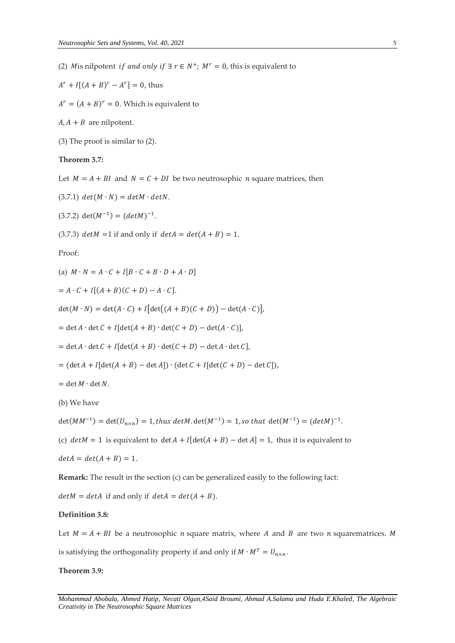(2) *M* is nilpotent *if and only if*  $\exists r \in N^+$ ;  $M^r = 0$ , this is equivalent to

 $A^r + I[(A + B)^r - A^r] = 0$ , thus

 $A^r = (A + B)^r = 0$ . Which is equivalent to

 $A, A + B$  are nilpotent.

(3) The proof is similar to (2).

# **Theorem 3.7:**

Let  $M = A + BI$  and  $N = C + DI$  be two neutrosophic *n* square matrices, then

 $(3.7.1)$   $det(M \cdot N) = detM \cdot detN$ .

 $(3.7.2) \det(M^{-1}) = (det M)^{-1}.$ 

(3.7.3)  $det M = 1$  if and only if  $det A = det(A + B) = 1$ .

Proof:

(a) 
$$
M \cdot N = A \cdot C + I[B \cdot C + B \cdot D + A \cdot D]
$$

$$
= A \cdot C + I[(A+B)(C+D) - A \cdot C].
$$

 $\det(M \cdot N) = \det(A \cdot C) + I[\det((A+B)(C+D)) - \det(A \cdot C)],$ 

 $= det A \cdot det C + I [det(A + B) \cdot det(C + D) - det(A \cdot C)],$ 

$$
= \det A \cdot \det C + I[\det(A + B) \cdot \det(C + D) - \det A \cdot \det C],
$$

$$
= (\det A + I[\det(A + B) - \det A]) \cdot (\det C + I[\det(C + D) - \det C]),
$$

 $= det M \cdot det N$ .

(b) We have

det( $MM^{-1}$ ) = det( $U_{n \times n}$ ) = 1, thus detM. det( $M^{-1}$ ) = 1, so that det( $M^{-1}$ ) = (detM)<sup>-1</sup>.

(c)  $det M = 1$  is equivalent to  $det A + I [det(A + B) - det A] = 1$ , thus it is equivalent to

$$
det A = det(A + B) = 1.
$$

**Remark:** The result in the section (c) can be generalized easily to the following fact:

 $det M = det A$  if and only if  $det A = det(A + B)$ .

# **Definition 3.8:**

Let  $M = A + BI$  be a neutrosophic *n* square matrix, where *A* and *B* are two *n* squarematrices. *M* is satisfying the orthogonality property if and only if  $M \cdot M^T = U_{n \times n}$ .

## **Theorem 3.9:**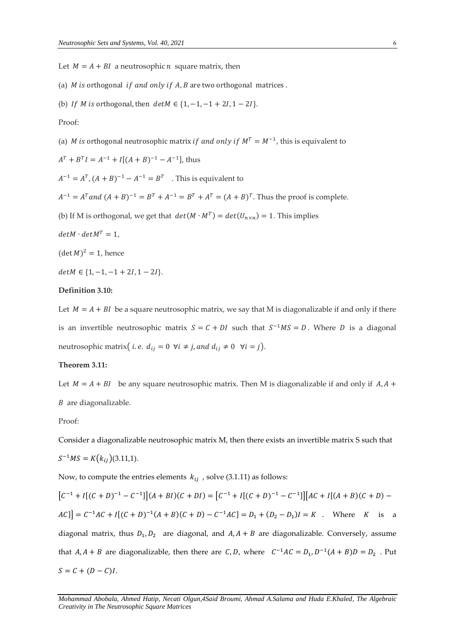Let  $M = A + BI$  a neutrosophic *n* square matrix, then

- (a)  $M$  is orthogonal if and only if  $A$ ,  $B$  are two orthogonal matrices.
- (b) If *M* is orthogonal, then  $det M \in \{1, -1, -1 + 2I, 1 2I\}.$

Proof:

(a) *M* is orthogonal neutrosophic matrix if and only if  $M^T = M^{-1}$ , this is equivalent to

$$
AT + BTI = A-1 + I[(A + B)-1 - A-1], thus
$$

 $A^{-1} = A^{T}$ ,  $(A + B)^{-1} - A^{-1} = B^{T}$  . This is equivalent to

- $A^{-1} = A^{T}$  and  $(A + B)^{-1} = B^{T} + A^{-1} = B^{T} + A^{T} = (A + B)^{T}$ . Thus the proof is complete.
- (b) If M is orthogonal, we get that  $det(M \cdot M^T) = det(U_{n \times n}) = 1$ . This implies
- $det M \cdot det M^T = 1$ ,

 $(\det M)^2 = 1$ , hence

 $det M \in \{1, -1, -1+ 2I, 1-2I\}.$ 

#### **Definition 3.10:**

Let  $M = A + BI$  be a square neutrosophic matrix, we say that M is diagonalizable if and only if there is an invertible neutrosophic matrix  $S = C + DI$  such that  $S^{-1}MS = D$ . Where D is a diagonal neutrosophic matrix( *i.e.*  $d_{ij} = 0$   $\forall i \neq j$ , and  $d_{ij} \neq 0$   $\forall i = j$ ).

## **Theorem 3.11:**

Let  $M = A + BI$  be any square neutrosophic matrix. Then M is diagonalizable if and only if  $A, A +$  $B$  are diagonalizable.

## Proof:

Consider a diagonalizable neutrosophic matrix M, then there exists an invertible matrix S such that

$$
S^{-1}MS = K(k_{ij})(3.11,1).
$$

Now, to compute the entries elements  $k_{ij}$ , solve (3.1.11) as follows:

 $[C^{-1} + I[(C + D)^{-1} - C^{-1}]](A + BI)(C + DI) = [C^{-1} + I[(C + D)^{-1} - C^{-1}]][AC + I[(A + B)(C + D) - C^{-1}]$  $AC$ ] =  $C^{-1}AC + I[(C + D)^{-1}(A + B)(C + D) - C^{-1}AC] = D_1 + (D_2 - D_1)I = K$ . Where K is a diagonal matrix, thus  $D_1, D_2$  are diagonal, and  $A, A + B$  are diagonalizable. Conversely, assume that  $A, A + B$  are diagonalizable, then there are C, D, where  $C^{-1}AC = D_1, D^{-1}(A + B)D = D_2$ . Put  $S = C + (D - C)I$ .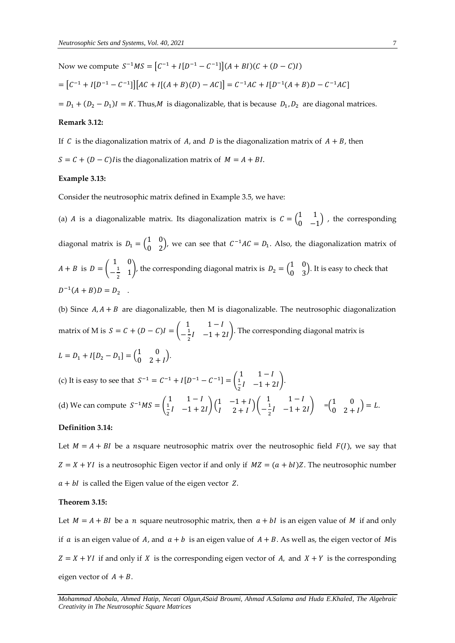Now we compute  $S^{-1}MS = [C^{-1} + I[D^{-1} - C^{-1}]](A + BI)(C + (D - C)I)$  $= [C^{-1} + I[D^{-1} - C^{-1}]][AC + I[(A + B)(D) - AC]] = C^{-1}AC + I[D^{-1}(A + B)D - C^{-1}AC]]$ 

 $= D_1 + (D_2 - D_1)I = K$ . Thus, *M* is diagonalizable, that is because  $D_1, D_2$  are diagonal matrices.

## **Remark 3.12:**

If C is the diagonalization matrix of A, and D is the diagonalization matrix of  $A + B$ , then  $S = C + (D - C)$  is the diagonalization matrix of  $M = A + BI$ .

#### **Example 3.13:**

Consider the neutrosophic matrix defined in Example 3.5, we have:

(a) *A* is a diagonalizable matrix. Its diagonalization matrix is  $C = \begin{pmatrix} 1 & 1 \\ 0 & 1 \end{pmatrix}$  $\begin{pmatrix} 1 & 1 \\ 0 & -1 \end{pmatrix}$ , the corresponding diagonal matrix is  $D_1 = \begin{pmatrix} 1 & 0 \\ 0 & 2 \end{pmatrix}$  $\begin{pmatrix} 1 & 0 \\ 0 & 2 \end{pmatrix}$ , we can see that  $C^{-1}AC = D_1$ . Also, the diagonalization matrix of  $A + B$  is  $D =$ 1 0  $-\frac{1}{2}$  $\begin{pmatrix} 1 & 0 \\ 2 & 1 \end{pmatrix}$ , the corresponding diagonal matrix is  $D_2 = \begin{pmatrix} 1 & 0 \\ 0 & 3 \end{pmatrix}$  $\begin{pmatrix} 1 & 0 \\ 0 & 3 \end{pmatrix}$ . It is easy to check that  $D^{-1}(A + B)D = D_2$ .

(b) Since  $A, A + B$  are diagonalizable, then M is diagonalizable. The neutrosophic diagonalization matrix of M is  $S = C + (D - C)I =$  $1 \qquad 1 - I$  $-\frac{1}{2}$  $\frac{1}{2}I$  -1 + 2*I*). The corresponding diagonal matrix is  $L = D_1 + I[D_2 - D_1] = \begin{pmatrix} 1 & 0 \\ 0 & 2 \end{pmatrix}$  $\begin{pmatrix} 1 & 0 \\ 0 & 2 + I \end{pmatrix}$ . (c) It is easy to see that  $S^{-1} = C^{-1} + I[D^{-1} - C^{-1}] =$  $\begin{array}{cc} 1 & 1-l \\ 1 & 1 \end{array}$  $\frac{1}{2}I -1 + 2I$ . (d) We can compute  $S^{-1}MS = \begin{pmatrix} 1 & 1-I \\ \frac{1}{I} & -1+I \end{pmatrix}$  $\frac{1}{2}I \quad -1 + 2I \bigg) \bigg( \frac{1}{I} \quad -1 + I \bigg)$  $\begin{pmatrix} 1 & -1 & -1 \\ 1 & 2 & 1 \end{pmatrix}$  $1 - I$  $-\frac{1}{2}$  $\frac{1}{2}I \quad -1 + 2I$  =  $\begin{pmatrix} 1 & 0 \\ 0 & 2 \end{pmatrix}$  $\begin{pmatrix} 1 & 0 \\ 0 & 2 + I \end{pmatrix} = L.$ 

## **Definition 3.14:**

Let  $M = A + BI$  be a nsquare neutrosophic matrix over the neutrosophic field  $F(I)$ , we say that  $Z = X + YI$  is a neutrosophic Eigen vector if and only if  $MZ = (a + bI)Z$ . The neutrosophic number  $a + bI$  is called the Eigen value of the eigen vector Z.

## **Theorem 3.15:**

Let  $M = A + BI$  be a *n* square neutrosophic matrix, then  $a + bl$  is an eigen value of *M* if and only if *a* is an eigen value of *A*, and  $a + b$  is an eigen value of  $A + B$ . As well as, the eigen vector of *M* is  $Z = X + YI$  if and only if X is the corresponding eigen vector of A, and  $X + Y$  is the corresponding eigen vector of  $A + B$ .

*Mohammad Abobala, Ahmed Hatip, Necati Olgun,4Said Broumi, Ahmad A.Salama and Huda E.Khaled, The Algebraic Creativity in The Neutrosophic Square Matrices*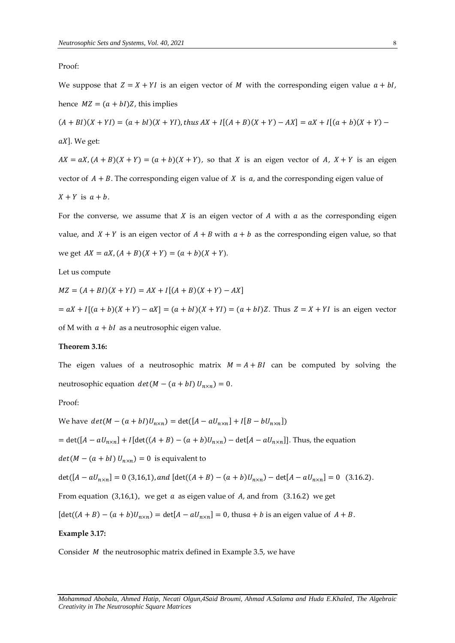Proof:

We suppose that  $Z = X + YI$  is an eigen vector of M with the corresponding eigen value  $a + bl$ , hence  $MZ = (a + bI)Z$ , this implies

 $(A + BI)(X + YI) = (a + bl)(X + YI)$ , thus  $AX + I[(A + B)(X + Y) - AX] = aX + I[(a + b)(X + Y) -$ 

 $aX$ ]. We get:

 $AX = aX$ ,  $(A + B)(X + Y) = (a + b)(X + Y)$ , so that X is an eigen vector of A,  $X + Y$  is an eigen vector of  $A + B$ . The corresponding eigen value of X is  $a$ , and the corresponding eigen value of  $X + Y$  is  $a + b$ .

For the converse, we assume that  $X$  is an eigen vector of  $A$  with  $a$  as the corresponding eigen value, and  $X + Y$  is an eigen vector of  $A + B$  with  $a + b$  as the corresponding eigen value, so that we get  $AX = aX$ ,  $(A + B)(X + Y) = (a + b)(X + Y)$ .

Let us compute

 $MZ = (A + BI)(X + YI) = AX + I[(A + B)(X + Y) - AX]$  $= aX + I[(a + b)(X + Y) - aX] = (a + bI)(X + YI) = (a + bI)Z$ . Thus  $Z = X + YI$  is an eigen vector of M with  $a + bI$  as a neutrosophic eigen value.

#### **Theorem 3.16:**

The eigen values of a neutrosophic matrix  $M = A + BI$  can be computed by solving the neutrosophic equation  $det(M - (a + bI) U_{n \times n}) = 0$ .

Proof:

We have  $det(M - (a + bI)U_{n \times n}) = det([A - aU_{n \times n}] + I[B - bU_{n \times n}])$ 

 $= det([A - aU_{n \times n}] + I[det((A + B) - (a + b)U_{n \times n}) - det[A - aU_{n \times n}]]$ . Thus, the equation

 $det(M - (a + bI) U_{n \times n}) = 0$  is equivalent to

$$
\det([A - aU_{n \times n}] = 0 \text{ (3,16,1), and } [\det((A + B) - (a + b)U_{n \times n}) - \det[A - aU_{n \times n}] = 0 \text{ (3.16.2).}
$$

From equation (3,16,1), we get  $a$  as eigen value of  $A$ , and from (3.16.2) we get

$$
[\det((A + B) - (a + b)U_{n \times n}) = \det[A - aU_{n \times n}] = 0, \text{ thus } a + b \text{ is an eigen value of } A + B.
$$

#### **Example 3.17:**

Consider  $M$  the neutrosophic matrix defined in Example 3.5, we have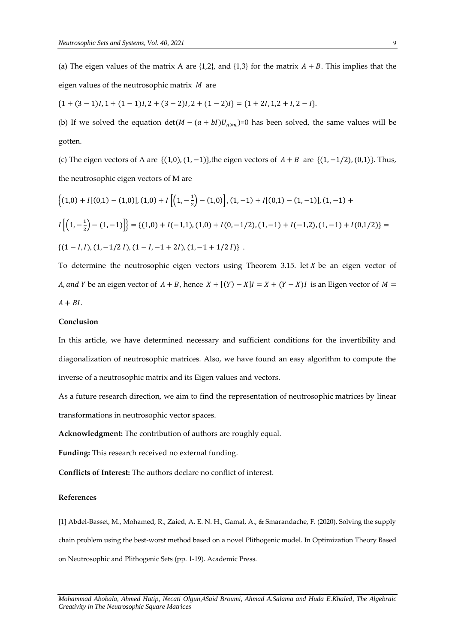(a) The eigen values of the matrix A are  $\{1,2\}$ , and  $\{1,3\}$  for the matrix  $A + B$ . This implies that the eigen values of the neutrosophic matrix  $M$  are

 ${1 + (3-1)I, 1 + (1-1)I, 2 + (3-2)I, 2 + (1-2)I} = {1 + 2I, 1, 2 + I, 2 - I}.$ 

(b) If we solved the equation  $det(M - (a + bI)U_{n \times n})=0$  has been solved, the same values will be gotten.

(c) The eigen vectors of A are  $\{(1,0), (1,−1)\}$ , the eigen vectors of  $A + B$  are  $\{(1,−1/2), (0,1)\}$ . Thus, the neutrosophic eigen vectors of M are

$$
\begin{aligned}\n\left\{ (1,0) + I[(0,1) - (1,0)], (1,0) + I\left[ \left( 1, -\frac{1}{2} \right) - (1,0) \right], (1,-1) + I[(0,1) - (1,-1)], (1,-1) + I\left[ \left( 1, -\frac{1}{2} \right) - (1,-1) \right] \right\} &= \left\{ (1,0) + I(-1,1), (1,0) + I(0,-1/2), (1,-1) + I(-1,2), (1,-1) + I(0,1/2) \right\} = \left\{ (1-I,I), (1,-1/2\,I), (1-I,-1+2I), (1,-1+1/2\,I) \right\}.\n\end{aligned}
$$

To determine the neutrosophic eigen vectors using Theorem 3.15. let  $X$  be an eigen vector of *A*, and *Y* be an eigen vector of  $A + B$ , hence  $X + [(Y) - X]I = X + (Y - X)I$  is an Eigen vector of  $M =$  $A + BI$ .

#### **Conclusion**

In this article, we have determined necessary and sufficient conditions for the invertibility and diagonalization of neutrosophic matrices. Also, we have found an easy algorithm to compute the inverse of a neutrosophic matrix and its Eigen values and vectors.

As a future research direction, we aim to find the representation of neutrosophic matrices by linear transformations in neutrosophic vector spaces.

**Acknowledgment:** The contribution of authors are roughly equal.

**Funding:** This research received no external funding.

**Conflicts of Interest:** The authors declare no conflict of interest.

#### **References**

[1] Abdel-Basset, M., Mohamed, R., Zaied, A. E. N. H., Gamal, A., & Smarandache, F. (2020). Solving the supply chain problem using the best-worst method based on a novel Plithogenic model. In Optimization Theory Based on Neutrosophic and Plithogenic Sets (pp. 1-19). Academic Press.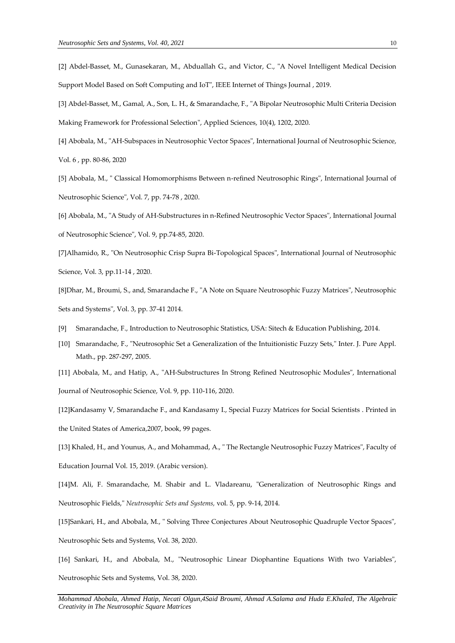- [2] Abdel-Basset, M., Gunasekaran, M., Abduallah G., and Victor, C., "A Novel Intelligent Medical Decision Support Model Based on Soft Computing and IoT", IEEE Internet of Things Journal , 2019.
- [3] Abdel-Basset, M., Gamal, A., Son, L. H., & Smarandache, F., "A Bipolar Neutrosophic Multi Criteria Decision Making Framework for Professional Selection", Applied Sciences, 10(4), 1202, 2020.
- [4] Abobala, M., "AH-Subspaces in Neutrosophic Vector Spaces", International Journal of Neutrosophic Science, Vol. 6 , pp. 80-86, 2020
- [5] Abobala, M., " Classical Homomorphisms Between n-refined Neutrosophic Rings", International Journal of Neutrosophic Science", Vol. 7, pp. 74-78 , 2020.
- [6] Abobala, M., "A Study of AH-Substructures in n-Refined Neutrosophic Vector Spaces", International Journal of Neutrosophic Science", Vol. 9, pp.74-85, 2020.
- [7]Alhamido, R., "On Neutrosophic Crisp Supra Bi-Topological Spaces", International Journal of Neutrosophic Science, Vol. 3, pp.11-14 , 2020.
- [8]Dhar, M., Broumi, S., and, Smarandache F., "A Note on Square Neutrosophic Fuzzy Matrices", Neutrosophic Sets and Systems'', Vol. 3, pp. 37-41 2014.
- [9] Smarandache, F., Introduction to Neutrosophic Statistics, USA: Sitech & Education Publishing, 2014.
- [10] Smarandache, F., "Neutrosophic Set a Generalization of the Intuitionistic Fuzzy Sets," Inter. J. Pure Appl. Math., pp. 287-297, 2005.

[11] Abobala, M., and Hatip, A., "AH-Substructures In Strong Refined Neutrosophic Modules", International Journal of Neutrosophic Science, Vol. 9, pp. 110-116, 2020.

[12]Kandasamy V, Smarandache F., and Kandasamy I., Special Fuzzy Matrices for Social Scientists . Printed in the United States of America,2007, book, 99 pages.

[13] Khaled, H., and Younus, A., and Mohammad, A., " The Rectangle Neutrosophic Fuzzy Matrices", Faculty of Education Journal Vol. 15, 2019. (Arabic version).

[14]M. Ali, F. Smarandache, M. Shabir and L. Vladareanu, "Generalization of Neutrosophic Rings and Neutrosophic Fields," *Neutrosophic Sets and Systems,* vol. 5, pp. 9-14, 2014.

[15]Sankari, H., and Abobala, M., " Solving Three Conjectures About Neutrosophic Quadruple Vector Spaces", Neutrosophic Sets and Systems, Vol. 38, 2020.

[16] Sankari, H., and Abobala, M., "Neutrosophic Linear Diophantine Equations With two Variables", Neutrosophic Sets and Systems, Vol. 38, 2020.